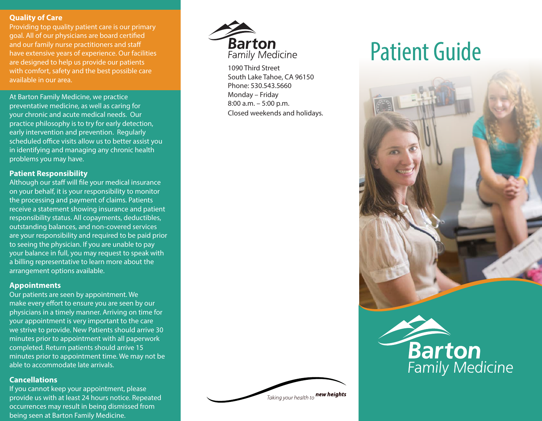#### **Quality of Care**

Providing top quality patient care is our primary goal. All of our physicians are board certified and our family nurse practitioners and staff have extensive years of experience. Our facilities are designed to help us provide our patients with comfort, safety and the best possible care available in our area.

At Barton Family Medicine, we practice preventative medicine, as well as caring for your chronic and acute medical needs. Our practice philosophy is to try for early detection, early intervention and prevention. Regularly scheduled office visits allow us to better assist you in identifying and managing any chronic health problems you may have.

## **Patient Responsibility**

Although our staff will file your medical insurance on your behalf, it is your responsibility to monitor the processing and payment of claims. Patients receive a statement showing insurance and patient responsibility status. All copayments, deductibles, outstanding balances, and non-covered services are your responsibility and required to be paid prior to seeing the physician. If you are unable to pay your balance in full, you may request to speak with a billing representative to learn more about the arrangement options available.

## **Appointments**

Our patients are seen by appointment. We make every effort to ensure you are seen by our physicians in a timely manner. Arriving on time for your appointment is very important to the care we strive to provide. New Patients should arrive 30 minutes prior to appointment with all paperwork completed. Return patients should arrive 15 minutes prior to appointment time. We may not be able to accommodate late arrivals.

# **Cancellations**

If you cannot keep your appointment, please provide us with at least 24 hours notice. Repeated occurrences may result in being dismissed from being seen at Barton Family Medicine.



1090 Third Street South Lake Tahoe, CA 96150 Phone: 530.543.5660 Monday – Friday 8:00 a.m. – 5:00 p.m. Closed weekends and holidays.



# Patient Guide